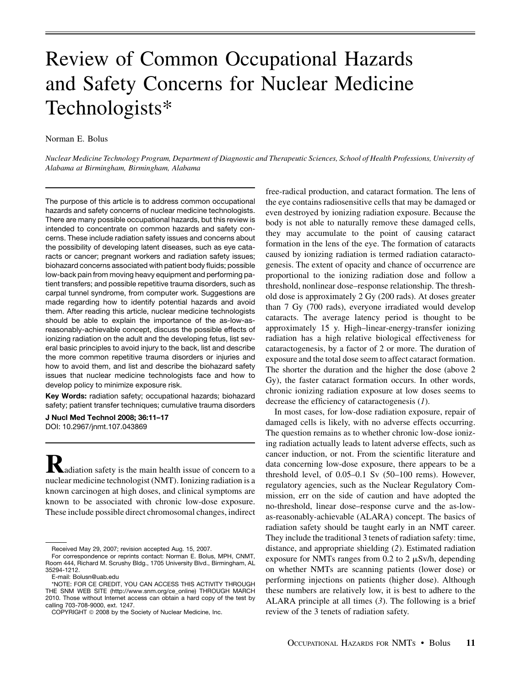# Review of Common Occupational Hazards and Safety Concerns for Nuclear Medicine Technologists\*

Norman E. Bolus

Nuclear Medicine Technology Program, Department of Diagnostic and Therapeutic Sciences, School of Health Professions, University of Alabama at Birmingham, Birmingham, Alabama

The purpose of this article is to address common occupational hazards and safety concerns of nuclear medicine technologists. There are many possible occupational hazards, but this review is intended to concentrate on common hazards and safety concerns. These include radiation safety issues and concerns about the possibility of developing latent diseases, such as eye cataracts or cancer; pregnant workers and radiation safety issues; biohazard concerns associated with patient body fluids; possible low-back pain from moving heavy equipment and performing patient transfers; and possible repetitive trauma disorders, such as carpal tunnel syndrome, from computer work. Suggestions are made regarding how to identify potential hazards and avoid them. After reading this article, nuclear medicine technologists should be able to explain the importance of the as-low-asreasonably-achievable concept, discuss the possible effects of ionizing radiation on the adult and the developing fetus, list several basic principles to avoid injury to the back, list and describe the more common repetitive trauma disorders or injuries and how to avoid them, and list and describe the biohazard safety issues that nuclear medicine technologists face and how to develop policy to minimize exposure risk.

Key Words: radiation safety; occupational hazards; biohazard safety; patient transfer techniques; cumulative trauma disorders

J Nucl Med Technol 2008; 36:11–17 DOI: 10.2967/jnmt.107.043869

**K**adiation safety is the main health issue of concern to a nuclear medicine technologist (NMT). Ionizing radiation is a known carcinogen at high doses, and clinical symptoms are known to be associated with chronic low-dose exposure. These include possible direct chromosomal changes, indirect

free-radical production, and cataract formation. The lens of the eye contains radiosensitive cells that may be damaged or even destroyed by ionizing radiation exposure. Because the body is not able to naturally remove these damaged cells, they may accumulate to the point of causing cataract formation in the lens of the eye. The formation of cataracts caused by ionizing radiation is termed radiation cataractogenesis. The extent of opacity and chance of occurrence are proportional to the ionizing radiation dose and follow a threshold, nonlinear dose–response relationship. The threshold dose is approximately 2 Gy (200 rads). At doses greater than 7 Gy (700 rads), everyone irradiated would develop cataracts. The average latency period is thought to be approximately 15 y. High–linear-energy-transfer ionizing radiation has a high relative biological effectiveness for cataractogenesis, by a factor of 2 or more. The duration of exposure and the total dose seem to affect cataract formation. The shorter the duration and the higher the dose (above 2 Gy), the faster cataract formation occurs. In other words, chronic ionizing radiation exposure at low doses seems to decrease the efficiency of cataractogenesis (1).

In most cases, for low-dose radiation exposure, repair of damaged cells is likely, with no adverse effects occurring. The question remains as to whether chronic low-dose ionizing radiation actually leads to latent adverse effects, such as cancer induction, or not. From the scientific literature and data concerning low-dose exposure, there appears to be a threshold level, of 0.05–0.1 Sv (50–100 rems). However, regulatory agencies, such as the Nuclear Regulatory Commission, err on the side of caution and have adopted the no-threshold, linear dose–response curve and the as-lowas-reasonably-achievable (ALARA) concept. The basics of radiation safety should be taught early in an NMT career. They include the traditional 3 tenets of radiation safety: time, distance, and appropriate shielding (2). Estimated radiation exposure for NMTs ranges from 0.2 to 2  $\mu$ Sv/h, depending on whether NMTs are scanning patients (lower dose) or performing injections on patients (higher dose). Although these numbers are relatively low, it is best to adhere to the ALARA principle at all times (3). The following is a brief review of the 3 tenets of radiation safety.

Received May 29, 2007; revision accepted Aug. 15, 2007.

For correspondence or reprints contact: Norman E. Bolus, MPH, CNMT, Room 444, Richard M. Scrushy Bldg., 1705 University Blvd., Birmingham, AL 35294-1212.

E-mail: Bolusn@uab.edu

<sup>\*</sup>NOTE: FOR CE CREDIT, YOU CAN ACCESS THIS ACTIVITY THROUGH THE SNM WEB SITE (http://www.snm.org/ce\_online) THROUGH MARCH 2010. Those without Internet access can obtain a hard copy of the test by calling 703-708-9000, ext. 1247.

COPYRIGHT © 2008 by the Society of Nuclear Medicine, Inc.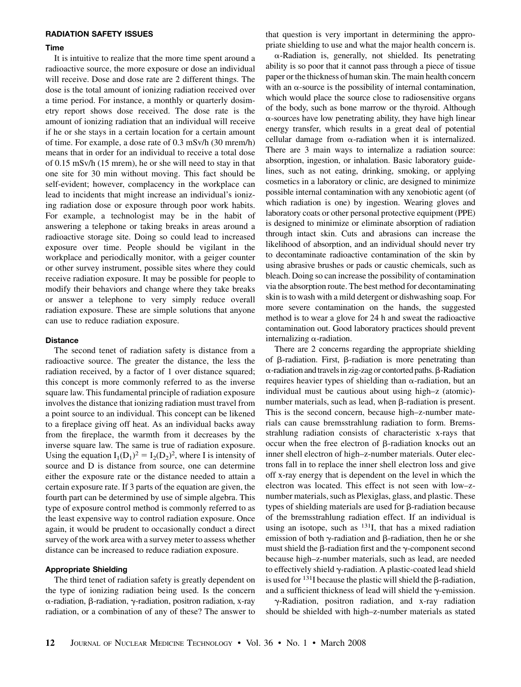## RADIATION SAFETY ISSUES

## Time

It is intuitive to realize that the more time spent around a radioactive source, the more exposure or dose an individual will receive. Dose and dose rate are 2 different things. The dose is the total amount of ionizing radiation received over a time period. For instance, a monthly or quarterly dosimetry report shows dose received. The dose rate is the amount of ionizing radiation that an individual will receive if he or she stays in a certain location for a certain amount of time. For example, a dose rate of 0.3 mSv/h (30 mrem/h) means that in order for an individual to receive a total dose of 0.15 mSv/h (15 mrem), he or she will need to stay in that one site for 30 min without moving. This fact should be self-evident; however, complacency in the workplace can lead to incidents that might increase an individual's ionizing radiation dose or exposure through poor work habits. For example, a technologist may be in the habit of answering a telephone or taking breaks in areas around a radioactive storage site. Doing so could lead to increased exposure over time. People should be vigilant in the workplace and periodically monitor, with a geiger counter or other survey instrument, possible sites where they could receive radiation exposure. It may be possible for people to modify their behaviors and change where they take breaks or answer a telephone to very simply reduce overall radiation exposure. These are simple solutions that anyone can use to reduce radiation exposure.

#### **Distance**

The second tenet of radiation safety is distance from a radioactive source. The greater the distance, the less the radiation received, by a factor of 1 over distance squared; this concept is more commonly referred to as the inverse square law. This fundamental principle of radiation exposure involves the distance that ionizing radiation must travel from a point source to an individual. This concept can be likened to a fireplace giving off heat. As an individual backs away from the fireplace, the warmth from it decreases by the inverse square law. The same is true of radiation exposure. Using the equation  $I_1(D_1)^2 = I_2(D_2)^2$ , where I is intensity of source and D is distance from source, one can determine either the exposure rate or the distance needed to attain a certain exposure rate. If 3 parts of the equation are given, the fourth part can be determined by use of simple algebra. This type of exposure control method is commonly referred to as the least expensive way to control radiation exposure. Once again, it would be prudent to occasionally conduct a direct survey of the work area with a survey meter to assess whether distance can be increased to reduce radiation exposure.

#### Appropriate Shielding

The third tenet of radiation safety is greatly dependent on the type of ionizing radiation being used. Is the concern  $\alpha$ -radiation,  $\beta$ -radiation,  $\gamma$ -radiation, positron radiation, x-ray radiation, or a combination of any of these? The answer to that question is very important in determining the appropriate shielding to use and what the major health concern is.

 $\alpha$ -Radiation is, generally, not shielded. Its penetrating ability is so poor that it cannot pass through a piece of tissue paper or the thickness of human skin. The main health concern with an  $\alpha$ -source is the possibility of internal contamination, which would place the source close to radiosensitive organs of the body, such as bone marrow or the thyroid. Although  $\alpha$ -sources have low penetrating ability, they have high linear energy transfer, which results in a great deal of potential cellular damage from  $\alpha$ -radiation when it is internalized. There are 3 main ways to internalize a radiation source: absorption, ingestion, or inhalation. Basic laboratory guidelines, such as not eating, drinking, smoking, or applying cosmetics in a laboratory or clinic, are designed to minimize possible internal contamination with any xenobiotic agent (of which radiation is one) by ingestion. Wearing gloves and laboratory coats or other personal protective equipment (PPE) is designed to minimize or eliminate absorption of radiation through intact skin. Cuts and abrasions can increase the likelihood of absorption, and an individual should never try to decontaminate radioactive contamination of the skin by using abrasive brushes or pads or caustic chemicals, such as bleach. Doing so can increase the possibility of contamination via the absorption route. The best method for decontaminating skin is to wash with a mild detergent or dishwashing soap. For more severe contamination on the hands, the suggested method is to wear a glove for 24 h and sweat the radioactive contamination out. Good laboratory practices should prevent internalizing  $\alpha$ -radiation.

There are 2 concerns regarding the appropriate shielding of  $\beta$ -radiation. First,  $\beta$ -radiation is more penetrating than  $\alpha$ -radiation and travels in zig-zag or contorted paths.  $\beta$ -Radiation requires heavier types of shielding than  $\alpha$ -radiation, but an individual must be cautious about using high–z (atomic) number materials, such as lead, when  $\beta$ -radiation is present. This is the second concern, because high–z-number materials can cause bremsstrahlung radiation to form. Bremsstrahlung radiation consists of characteristic x-rays that occur when the free electron of  $\beta$ -radiation knocks out an inner shell electron of high–z-number materials. Outer electrons fall in to replace the inner shell electron loss and give off x-ray energy that is dependent on the level in which the electron was located. This effect is not seen with low–znumber materials, such as Plexiglas, glass, and plastic. These types of shielding materials are used for  $\beta$ -radiation because of the bremsstrahlung radiation effect. If an individual is using an isotope, such as  $131$ , that has a mixed radiation emission of both  $\gamma$ -radiation and  $\beta$ -radiation, then he or she must shield the  $\beta$ -radiation first and the  $\gamma$ -component second because high–z-number materials, such as lead, are needed to effectively shield  $\gamma$ -radiation. A plastic-coated lead shield is used for  $^{131}$ I because the plastic will shield the  $\beta$ -radiation, and a sufficient thickness of lead will shield the  $\gamma$ -emission.

 $\gamma$ -Radiation, positron radiation, and x-ray radiation should be shielded with high–z-number materials as stated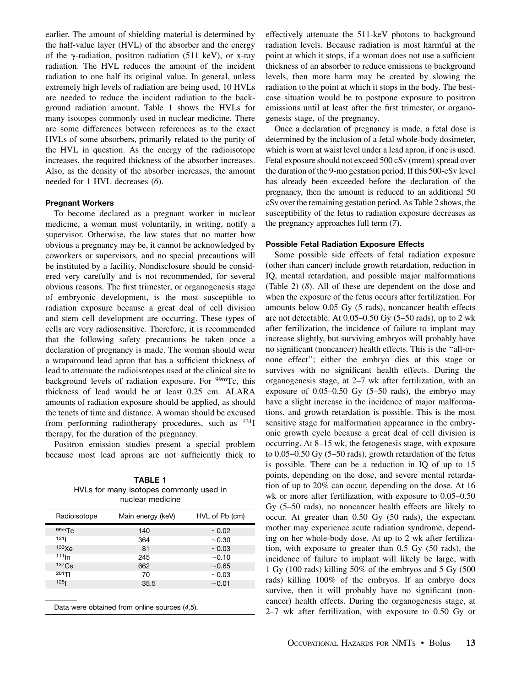earlier. The amount of shielding material is determined by the half-value layer (HVL) of the absorber and the energy of the  $\gamma$ -radiation, positron radiation (511 keV), or x-ray radiation. The HVL reduces the amount of the incident radiation to one half its original value. In general, unless extremely high levels of radiation are being used, 10 HVLs are needed to reduce the incident radiation to the background radiation amount. Table 1 shows the HVLs for many isotopes commonly used in nuclear medicine. There are some differences between references as to the exact HVLs of some absorbers, primarily related to the purity of the HVL in question. As the energy of the radioisotope increases, the required thickness of the absorber increases. Also, as the density of the absorber increases, the amount needed for 1 HVL decreases (6).

## Pregnant Workers

To become declared as a pregnant worker in nuclear medicine, a woman must voluntarily, in writing, notify a supervisor. Otherwise, the law states that no matter how obvious a pregnancy may be, it cannot be acknowledged by coworkers or supervisors, and no special precautions will be instituted by a facility. Nondisclosure should be considered very carefully and is not recommended, for several obvious reasons. The first trimester, or organogenesis stage of embryonic development, is the most susceptible to radiation exposure because a great deal of cell division and stem cell development are occurring. These types of cells are very radiosensitive. Therefore, it is recommended that the following safety precautions be taken once a declaration of pregnancy is made. The woman should wear a wraparound lead apron that has a sufficient thickness of lead to attenuate the radioisotopes used at the clinical site to background levels of radiation exposure. For <sup>99m</sup>Tc, this thickness of lead would be at least 0.25 cm. ALARA amounts of radiation exposure should be applied, as should the tenets of time and distance. A woman should be excused from performing radiotherapy procedures, such as  $^{131}I$ therapy, for the duration of the pregnancy.

Positron emission studies present a special problem because most lead aprons are not sufficiently thick to

TABLE 1 HVLs for many isotopes commonly used in nuclear medicine

| Main energy (keV) | HVL of Pb (cm) |
|-------------------|----------------|
| 140               | ~10.02         |
| 364               | ~10.30         |
| 81                | ~10.03         |
| 245               | $~10^{-1}$     |
| 662               | ~10.65         |
| 70                | ~10.03         |
| 35.5              | ~10.01         |
|                   |                |
|                   |                |

effectively attenuate the 511-keV photons to background radiation levels. Because radiation is most harmful at the point at which it stops, if a woman does not use a sufficient thickness of an absorber to reduce emissions to background levels, then more harm may be created by slowing the radiation to the point at which it stops in the body. The bestcase situation would be to postpone exposure to positron emissions until at least after the first trimester, or organogenesis stage, of the pregnancy.

Once a declaration of pregnancy is made, a fetal dose is determined by the inclusion of a fetal whole-body dosimeter, which is worn at waist level under a lead apron, if one is used. Fetal exposure should not exceed 500 cSv (mrem) spread over the duration of the 9-mo gestation period. If this 500-cSv level has already been exceeded before the declaration of the pregnancy, then the amount is reduced to an additional 50 cSv over the remaining gestation period. As Table 2 shows, the susceptibility of the fetus to radiation exposure decreases as the pregnancy approaches full term (7).

## Possible Fetal Radiation Exposure Effects

Some possible side effects of fetal radiation exposure (other than cancer) include growth retardation, reduction in IQ, mental retardation, and possible major malformations (Table 2) (8). All of these are dependent on the dose and when the exposure of the fetus occurs after fertilization. For amounts below 0.05 Gy (5 rads), noncancer health effects are not detectable. At  $0.05-0.50$  Gy  $(5-50$  rads), up to 2 wk after fertilization, the incidence of failure to implant may increase slightly, but surviving embryos will probably have no significant (noncancer) health effects. This is the ''all-ornone effect''; either the embryo dies at this stage or survives with no significant health effects. During the organogenesis stage, at 2–7 wk after fertilization, with an exposure of  $0.05-0.50$  Gy  $(5-50 \text{ rads})$ , the embryo may have a slight increase in the incidence of major malformations, and growth retardation is possible. This is the most sensitive stage for malformation appearance in the embryonic growth cycle because a great deal of cell division is occurring. At 8–15 wk, the fetogenesis stage, with exposure to 0.05–0.50 Gy (5–50 rads), growth retardation of the fetus is possible. There can be a reduction in IQ of up to 15 points, depending on the dose, and severe mental retardation of up to 20% can occur, depending on the dose. At 16 wk or more after fertilization, with exposure to 0.05–0.50 Gy (5–50 rads), no noncancer health effects are likely to occur. At greater than 0.50 Gy (50 rads), the expectant mother may experience acute radiation syndrome, depending on her whole-body dose. At up to 2 wk after fertilization, with exposure to greater than 0.5 Gy (50 rads), the incidence of failure to implant will likely be large, with 1 Gy (100 rads) killing 50% of the embryos and 5 Gy (500 rads) killing 100% of the embryos. If an embryo does survive, then it will probably have no significant (noncancer) health effects. During the organogenesis stage, at 2–7 wk after fertilization, with exposure to 0.50 Gy or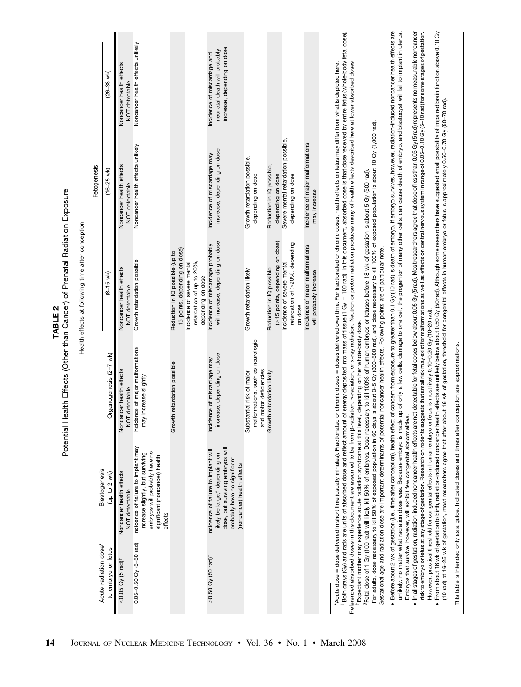|                                             |                                                                                                                                                                                      | Potential Health Effects (Other than Cancer) of Prenatal Radiation Exposure                                                                                                                                                                                                                                                                                                                                                                                                                                                                                                                                                                                                                                                                                                                                                                                                                                                                                                                                                                                                                                                                                                                                                                                                                                                                     | N<br><b>TABLE</b>                                                           |                                                             |                                                                                               |
|---------------------------------------------|--------------------------------------------------------------------------------------------------------------------------------------------------------------------------------------|-------------------------------------------------------------------------------------------------------------------------------------------------------------------------------------------------------------------------------------------------------------------------------------------------------------------------------------------------------------------------------------------------------------------------------------------------------------------------------------------------------------------------------------------------------------------------------------------------------------------------------------------------------------------------------------------------------------------------------------------------------------------------------------------------------------------------------------------------------------------------------------------------------------------------------------------------------------------------------------------------------------------------------------------------------------------------------------------------------------------------------------------------------------------------------------------------------------------------------------------------------------------------------------------------------------------------------------------------|-----------------------------------------------------------------------------|-------------------------------------------------------------|-----------------------------------------------------------------------------------------------|
|                                             |                                                                                                                                                                                      |                                                                                                                                                                                                                                                                                                                                                                                                                                                                                                                                                                                                                                                                                                                                                                                                                                                                                                                                                                                                                                                                                                                                                                                                                                                                                                                                                 | Health effects at following time after conception                           |                                                             |                                                                                               |
|                                             |                                                                                                                                                                                      |                                                                                                                                                                                                                                                                                                                                                                                                                                                                                                                                                                                                                                                                                                                                                                                                                                                                                                                                                                                                                                                                                                                                                                                                                                                                                                                                                 |                                                                             | Fetogenesis                                                 |                                                                                               |
| Acute radiation dose*<br>to embryo or fetus | Blastogenesis<br>(up to 2 wk)                                                                                                                                                        | Organogenesis (2-7 wk)                                                                                                                                                                                                                                                                                                                                                                                                                                                                                                                                                                                                                                                                                                                                                                                                                                                                                                                                                                                                                                                                                                                                                                                                                                                                                                                          | $(8 - 15$ wk)                                                               | $(16 - 25$ wk)                                              | $(26 - 38$ wk)                                                                                |
| $<$ 0.05 Gy (5 rad) <sup>+</sup>            | Noncancer health effects                                                                                                                                                             | Noncancer health effects                                                                                                                                                                                                                                                                                                                                                                                                                                                                                                                                                                                                                                                                                                                                                                                                                                                                                                                                                                                                                                                                                                                                                                                                                                                                                                                        | Noncancer health effects                                                    | Noncancer health effects                                    | Noncancer health effects                                                                      |
| 0.05-0.50 Gy (5-50 rad)                     | Incidence of failure to implant may<br>embryos will probably have no<br>increase slightly, but surviving<br>significant (noncancer) health<br>NOT detectable                         | Incidence of major malformations<br>increase slightly<br>detectable<br>$\overline{5}$<br>may                                                                                                                                                                                                                                                                                                                                                                                                                                                                                                                                                                                                                                                                                                                                                                                                                                                                                                                                                                                                                                                                                                                                                                                                                                                    | Growth retardation possible<br>NOT detectable                               | Noncancer health effects unlikely<br>NOT detectable         | Noncancer health effects unlikely<br>NOT detectable                                           |
|                                             | effects                                                                                                                                                                              | Growth retardation possible                                                                                                                                                                                                                                                                                                                                                                                                                                                                                                                                                                                                                                                                                                                                                                                                                                                                                                                                                                                                                                                                                                                                                                                                                                                                                                                     | 15 points, depending on dose)<br>Reduction in IQ possible (up to            |                                                             |                                                                                               |
|                                             |                                                                                                                                                                                      |                                                                                                                                                                                                                                                                                                                                                                                                                                                                                                                                                                                                                                                                                                                                                                                                                                                                                                                                                                                                                                                                                                                                                                                                                                                                                                                                                 | Incidence of severe mental<br>retardation of up to 20%<br>depending on dose |                                                             |                                                                                               |
| $>0.50$ Gy (50 rad) <sup>#</sup>            | dose, but surviving embryos will<br>Incidence of failure to implant will<br>likely be large, <sup>§</sup> depending on<br>probably have no significant<br>(noncancer) health effects | increase, depending on dose<br>Incidence of miscarriage may                                                                                                                                                                                                                                                                                                                                                                                                                                                                                                                                                                                                                                                                                                                                                                                                                                                                                                                                                                                                                                                                                                                                                                                                                                                                                     | will increase, depending on dose<br>Incidence of miscarriage probably       | increase, depending on dose<br>Incidence of miscarriage may | increase, depending on dosell<br>neonatal death will probably<br>Incidence of miscarriage and |
|                                             |                                                                                                                                                                                      | malformations, such as neurologic<br>and motor deficiencies<br>Substantial risk of major                                                                                                                                                                                                                                                                                                                                                                                                                                                                                                                                                                                                                                                                                                                                                                                                                                                                                                                                                                                                                                                                                                                                                                                                                                                        | Growth retardation likely                                                   | Growth retardation possible,<br>depending on dose           |                                                                                               |
|                                             |                                                                                                                                                                                      | Growth retardation likely                                                                                                                                                                                                                                                                                                                                                                                                                                                                                                                                                                                                                                                                                                                                                                                                                                                                                                                                                                                                                                                                                                                                                                                                                                                                                                                       | (>15 points, depending on dose)<br>Reduction in IQ possible                 | Reduction in IQ possible,<br>depending on dose              |                                                                                               |
|                                             |                                                                                                                                                                                      |                                                                                                                                                                                                                                                                                                                                                                                                                                                                                                                                                                                                                                                                                                                                                                                                                                                                                                                                                                                                                                                                                                                                                                                                                                                                                                                                                 | retardation of >20%, depending<br>Incidence of severe mental<br>on dose     | Severe mental retardation possible,<br>depending on dose    |                                                                                               |
|                                             |                                                                                                                                                                                      |                                                                                                                                                                                                                                                                                                                                                                                                                                                                                                                                                                                                                                                                                                                                                                                                                                                                                                                                                                                                                                                                                                                                                                                                                                                                                                                                                 | Incidence of major malformations<br>will probably increase                  | Incidence of major malformations<br>may increase            |                                                                                               |
|                                             |                                                                                                                                                                                      | <sup>1</sup> Both grays (Gy) and rads are units of absorbed dose and reflect amount of energy deposited into mass of tissue (1 Gy = 100 rad). In this document, absorbed dose is that dose received by entire fetus (whole-body fetal d<br>Referenced absorbed doses in this document are assumed to be from ß-radiation, y-radiation, or x-ray radiation. Neutron or proton radiation produces many of health effects described here at lower absorbed doses<br>"Acute dose = dose delivered in short time (usually minutes). Fractionated or chricnic doses = doses delivered over time. For fractionated or chronic doses, health effects on fetus may differ from what is depicted here.<br>For adults, dose necessary to kill 50% of exposed population in 60 days is about 3–5 Gy (300–500 rad), and dose necessary to kill 100% of exposed population is about 10 Gy (1,000 rad).<br><sup>s</sup> Fetal dose of 1 Gy (100 rad) will likely kill 50% of embryos. Dose necessary to kill 100% of human embryos or fetuses before 18 wk of gestation is about 5 Gy (500 rad).<br>Gestational age and radiation dose are important determinants of potential noncancer health effects. Following points are of particular note.<br>Expectant mother may experience acute radiation syndrome at this level, depending on her whole-body dose- |                                                                             |                                                             |                                                                                               |
|                                             | Embryos that survive, however, will exhibit few congenital abnormalities                                                                                                             | · Before about 2 wk of gestation (i.e., time after conception), health effect of concern from exposure to greater than 0.1 Gy (10 rad) is death of embryo. If embryo survives, however, radiation-induced noncancer health eff<br>unlikely, no matter what radiation dose was. Because embryo is made up of only a few cells, damage to one cell, the progenitor of many other cells, can cause death of embryo, and blastocyst will fall to implant in uterus.                                                                                                                                                                                                                                                                                                                                                                                                                                                                                                                                                                                                                                                                                                                                                                                                                                                                                 |                                                                             |                                                             |                                                                                               |
|                                             |                                                                                                                                                                                      | • In all stages of gestation, radiation-induced noncancer health effects are not detectable for fetal doses below about 0.05 Gy (5 rad). Most researchers agree that dose of less than 0.05 Gy (5 rad) represents no measurabl<br>risk to embryo or fetus at any stage of gestation. Research on rodents suggests that small risk may exist for malformations as well as effects on central nervous system in range of 0.05–0.10 Gy (5–10 rad) for some stages o<br>► From about 16 wk of gestation to birth, radiation-induced noncancer health effects are unlikely below about 0.50 Gy (50 rad). Although some researchers have suggested small possibility of impaired brain function above 0<br>However, practical threshold for congenital effects in human embryo or fetus is most likely 0.10-0.20 Gy (10-20 rad).                                                                                                                                                                                                                                                                                                                                                                                                                                                                                                                      |                                                                             |                                                             |                                                                                               |
|                                             | This table is intended only as a guide. Indicated doses and times after conception are approximations.                                                                               | (10 rad) at 16-25 wk of gestation, most researchers agree that after about 16 wk of gestation, threshold for congenital effects in human embryo or fetus is approximately 0.50-0.70 Gy (50-70 rad)                                                                                                                                                                                                                                                                                                                                                                                                                                                                                                                                                                                                                                                                                                                                                                                                                                                                                                                                                                                                                                                                                                                                              |                                                                             |                                                             |                                                                                               |

14 JOURNAL OF NUCLEAR MEDICINE TECHNOLOGY • Vol. 36 • No. 1 • March 2008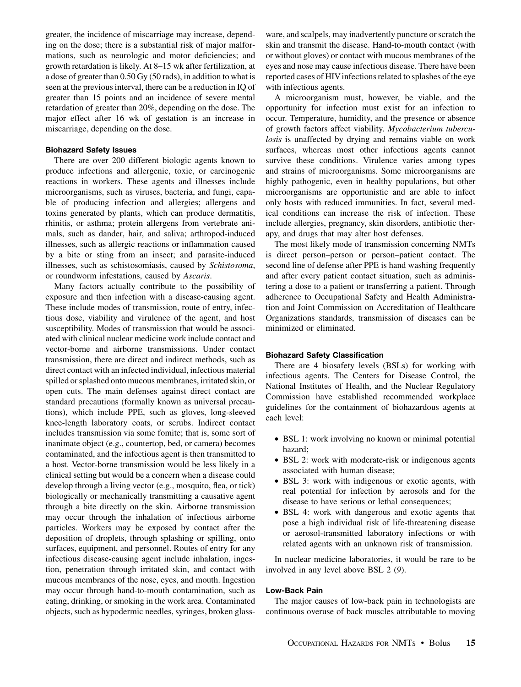greater, the incidence of miscarriage may increase, depending on the dose; there is a substantial risk of major malformations, such as neurologic and motor deficiencies; and growth retardation is likely. At 8–15 wk after fertilization, at a dose of greater than 0.50 Gy (50 rads), in addition to what is seen at the previous interval, there can be a reduction in IQ of greater than 15 points and an incidence of severe mental retardation of greater than 20%, depending on the dose. The major effect after 16 wk of gestation is an increase in miscarriage, depending on the dose.

## Biohazard Safety Issues

There are over 200 different biologic agents known to produce infections and allergenic, toxic, or carcinogenic reactions in workers. These agents and illnesses include microorganisms, such as viruses, bacteria, and fungi, capable of producing infection and allergies; allergens and toxins generated by plants, which can produce dermatitis, rhinitis, or asthma; protein allergens from vertebrate animals, such as dander, hair, and saliva; arthropod-induced illnesses, such as allergic reactions or inflammation caused by a bite or sting from an insect; and parasite-induced illnesses, such as schistosomiasis, caused by Schistosoma, or roundworm infestations, caused by Ascaris.

Many factors actually contribute to the possibility of exposure and then infection with a disease-causing agent. These include modes of transmission, route of entry, infectious dose, viability and virulence of the agent, and host susceptibility. Modes of transmission that would be associated with clinical nuclear medicine work include contact and vector-borne and airborne transmissions. Under contact transmission, there are direct and indirect methods, such as direct contact with an infected individual, infectious material spilled or splashed onto mucous membranes, irritated skin, or open cuts. The main defenses against direct contact are standard precautions (formally known as universal precautions), which include PPE, such as gloves, long-sleeved knee-length laboratory coats, or scrubs. Indirect contact includes transmission via some fomite; that is, some sort of inanimate object (e.g., countertop, bed, or camera) becomes contaminated, and the infectious agent is then transmitted to a host. Vector-borne transmission would be less likely in a clinical setting but would be a concern when a disease could develop through a living vector (e.g., mosquito, flea, or tick) biologically or mechanically transmitting a causative agent through a bite directly on the skin. Airborne transmission may occur through the inhalation of infectious airborne particles. Workers may be exposed by contact after the deposition of droplets, through splashing or spilling, onto surfaces, equipment, and personnel. Routes of entry for any infectious disease-causing agent include inhalation, ingestion, penetration through irritated skin, and contact with mucous membranes of the nose, eyes, and mouth. Ingestion may occur through hand-to-mouth contamination, such as eating, drinking, or smoking in the work area. Contaminated objects, such as hypodermic needles, syringes, broken glassware, and scalpels, may inadvertently puncture or scratch the skin and transmit the disease. Hand-to-mouth contact (with or without gloves) or contact with mucous membranes of the eyes and nose may cause infectious disease. There have been reported cases of HIVinfections related to splashes of the eye with infectious agents.

A microorganism must, however, be viable, and the opportunity for infection must exist for an infection to occur. Temperature, humidity, and the presence or absence of growth factors affect viability. Mycobacterium tuberculosis is unaffected by drying and remains viable on work surfaces, whereas most other infectious agents cannot survive these conditions. Virulence varies among types and strains of microorganisms. Some microorganisms are highly pathogenic, even in healthy populations, but other microorganisms are opportunistic and are able to infect only hosts with reduced immunities. In fact, several medical conditions can increase the risk of infection. These include allergies, pregnancy, skin disorders, antibiotic therapy, and drugs that may alter host defenses.

The most likely mode of transmission concerning NMTs is direct person–person or person–patient contact. The second line of defense after PPE is hand washing frequently and after every patient contact situation, such as administering a dose to a patient or transferring a patient. Through adherence to Occupational Safety and Health Administration and Joint Commission on Accreditation of Healthcare Organizations standards, transmission of diseases can be minimized or eliminated.

#### Biohazard Safety Classification

There are 4 biosafety levels (BSLs) for working with infectious agents. The Centers for Disease Control, the National Institutes of Health, and the Nuclear Regulatory Commission have established recommended workplace guidelines for the containment of biohazardous agents at each level:

- BSL 1: work involving no known or minimal potential hazard;
- BSL 2: work with moderate-risk or indigenous agents associated with human disease;
- BSL 3: work with indigenous or exotic agents, with real potential for infection by aerosols and for the disease to have serious or lethal consequences;
- BSL 4: work with dangerous and exotic agents that pose a high individual risk of life-threatening disease or aerosol-transmitted laboratory infections or with related agents with an unknown risk of transmission.

In nuclear medicine laboratories, it would be rare to be involved in any level above BSL 2 (9).

## Low-Back Pain

The major causes of low-back pain in technologists are continuous overuse of back muscles attributable to moving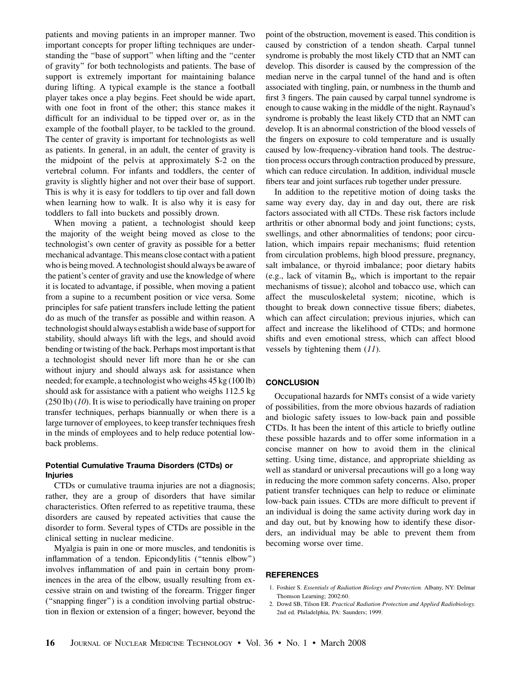patients and moving patients in an improper manner. Two important concepts for proper lifting techniques are understanding the ''base of support'' when lifting and the ''center of gravity'' for both technologists and patients. The base of support is extremely important for maintaining balance during lifting. A typical example is the stance a football player takes once a play begins. Feet should be wide apart, with one foot in front of the other; this stance makes it difficult for an individual to be tipped over or, as in the example of the football player, to be tackled to the ground. The center of gravity is important for technologists as well as patients. In general, in an adult, the center of gravity is the midpoint of the pelvis at approximately S-2 on the vertebral column. For infants and toddlers, the center of gravity is slightly higher and not over their base of support. This is why it is easy for toddlers to tip over and fall down when learning how to walk. It is also why it is easy for toddlers to fall into buckets and possibly drown.

When moving a patient, a technologist should keep the majority of the weight being moved as close to the technologist's own center of gravity as possible for a better mechanical advantage. This means close contact with a patient who is being moved. A technologist should always be aware of the patient's center of gravity and use the knowledge of where it is located to advantage, if possible, when moving a patient from a supine to a recumbent position or vice versa. Some principles for safe patient transfers include letting the patient do as much of the transfer as possible and within reason. A technologist should always establish a wide base of support for stability, should always lift with the legs, and should avoid bending or twisting of the back. Perhaps most important is that a technologist should never lift more than he or she can without injury and should always ask for assistance when needed; for example, a technologist who weighs 45 kg (100 lb) should ask for assistance with a patient who weighs 112.5 kg (250 lb) (10). It is wise to periodically have training on proper transfer techniques, perhaps biannually or when there is a large turnover of employees, to keep transfer techniques fresh in the minds of employees and to help reduce potential lowback problems.

# Potential Cumulative Trauma Disorders (CTDs) or Injuries

CTDs or cumulative trauma injuries are not a diagnosis; rather, they are a group of disorders that have similar characteristics. Often referred to as repetitive trauma, these disorders are caused by repeated activities that cause the disorder to form. Several types of CTDs are possible in the clinical setting in nuclear medicine.

Myalgia is pain in one or more muscles, and tendonitis is inflammation of a tendon. Epicondylitis (''tennis elbow'') involves inflammation of and pain in certain bony prominences in the area of the elbow, usually resulting from excessive strain on and twisting of the forearm. Trigger finger (''snapping finger'') is a condition involving partial obstruction in flexion or extension of a finger; however, beyond the point of the obstruction, movement is eased. This condition is caused by constriction of a tendon sheath. Carpal tunnel syndrome is probably the most likely CTD that an NMT can develop. This disorder is caused by the compression of the median nerve in the carpal tunnel of the hand and is often associated with tingling, pain, or numbness in the thumb and first 3 fingers. The pain caused by carpal tunnel syndrome is enough to cause waking in the middle of the night. Raynaud's syndrome is probably the least likely CTD that an NMT can develop. It is an abnormal constriction of the blood vessels of the fingers on exposure to cold temperature and is usually caused by low-frequency-vibration hand tools. The destruction process occurs through contraction produced by pressure, which can reduce circulation. In addition, individual muscle fibers tear and joint surfaces rub together under pressure.

In addition to the repetitive motion of doing tasks the same way every day, day in and day out, there are risk factors associated with all CTDs. These risk factors include arthritis or other abnormal body and joint functions; cysts, swellings, and other abnormalities of tendons; poor circulation, which impairs repair mechanisms; fluid retention from circulation problems, high blood pressure, pregnancy, salt imbalance, or thyroid imbalance; poor dietary habits (e.g., lack of vitamin  $B_6$ , which is important to the repair mechanisms of tissue); alcohol and tobacco use, which can affect the musculoskeletal system; nicotine, which is thought to break down connective tissue fibers; diabetes, which can affect circulation; previous injuries, which can affect and increase the likelihood of CTDs; and hormone shifts and even emotional stress, which can affect blood vessels by tightening them  $(11)$ .

## **CONCLUSION**

Occupational hazards for NMTs consist of a wide variety of possibilities, from the more obvious hazards of radiation and biologic safety issues to low-back pain and possible CTDs. It has been the intent of this article to briefly outline these possible hazards and to offer some information in a concise manner on how to avoid them in the clinical setting. Using time, distance, and appropriate shielding as well as standard or universal precautions will go a long way in reducing the more common safety concerns. Also, proper patient transfer techniques can help to reduce or eliminate low-back pain issues. CTDs are more difficult to prevent if an individual is doing the same activity during work day in and day out, but by knowing how to identify these disorders, an individual may be able to prevent them from becoming worse over time.

#### **REFERENCES**

- 1. Foshier S. Essentials of Radiation Biology and Protection. Albany, NY: Delmar Thomson Learning; 2002:60.
- 2. Dowd SB, Tilson ER. Practical Radiation Protection and Applied Radiobiology. 2nd ed. Philadelphia, PA: Saunders; 1999.